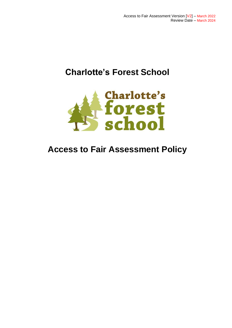# **Charlotte's Forest School**



# **Access to Fair Assessment Policy**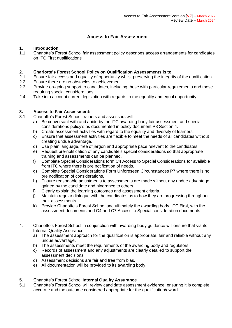# **Access to Fair Assessment**

## **1. Introduction**:

1.1 Charlotte's Forest School fair assessment policy describes access arrangements for candidates on ITC First qualifications

### **2. Charlotte's Forest School Policy on Qualification Assessments is to**:

- 2.1 Ensure fair access and equality of opportunity whilst preserving the integrity of the qualification.
- 2.2 Ensure there are no obstacles to achievement.
- 2.3 Provide on-going support to candidates, including those with particular requirements and those requiring special considerations.
- 2.4 Take into account current legislation with regards to the equality and equal opportunity.

### **3. Access to Fair Assessment:**

- 3.1 Charlotte's Forest School trainers and assessors will:
	- a) Be conversant with and abide by the ITC awarding body fair assessment and special considerations policy's as documented in policy document P8 Section 4.
	- b) Create assessment activities with regard to the equality and diversity of learners.
	- c) Ensure that assessment activities are flexible to meet the needs of all candidates without creating undue advantage.
	- d) Use plain language, free of jargon and appropriate pace relevant to the candidates.
	- e) Request pre-notification of any candidate's special considerations so that appropriate training and assessments can be planned.
	- f) Complete Special Considerations form C4 Access to Special Considerations for available from ITC where there is pre notification of needs.
	- g) Complete Special Considerations Form Unforeseen Circumstances P7 where there is no pre notification of considerations.
	- h) Ensure reasonable adjustments to assessments are made without any undue advantage gained by the candidate and hindrance to others.
	- i) Clearly explain the learning outcomes and assessment criteria.
	- j) Maintain regular dialogue with the candidates as to how they are progressing throughout their assessments.
	- k) Provide Charlotte's Forest School and ultimately the awarding body, ITC First, with the assessment documents and C4 and C7 Access to Special consideration documents
- 4. Charlotte's Forest School in conjunction with awarding body guidance will ensure that via its Internal Quality Assurance:
	- a) The assessment approach for the qualification is appropriate, fair and reliable without any undue advantage.
	- b) The assessments meet the requirements of the awarding body and regulators.
	- c) Records of assessment and any adjustments are clearly detailed to support the assessment decisions.
	- d) Assessment decisions are fair and free from bias.
	- e) All documentation will be provided to its awarding body.

#### **5.** Charlotte's Forest School **Internal Quality Assurance**

5.1 Charlotte's Forest School will review candidate assessment evidence, ensuring it is complete, accurate and the outcome considered appropriate for the qualification/award.